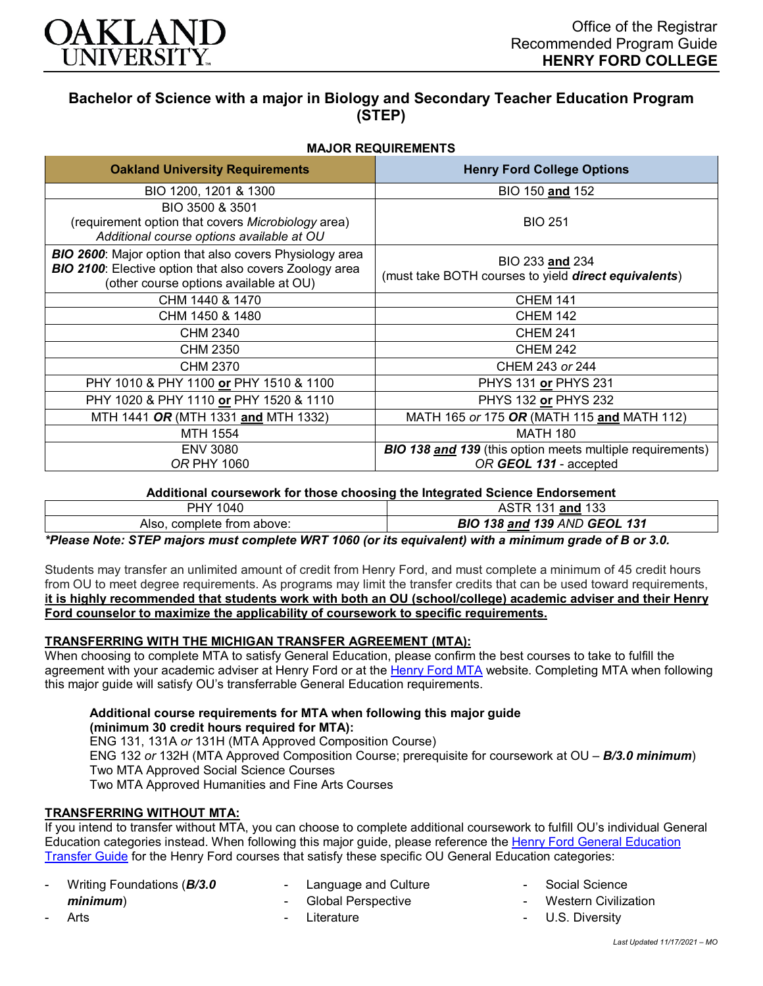

# **Bachelor of Science with a major in Biology and Secondary Teacher Education Program (STEP)**

## **MAJOR REQUIREMENTS**

| <b>Oakland University Requirements</b>                                                                                                                                     | <b>Henry Ford College Options</b>                                                          |
|----------------------------------------------------------------------------------------------------------------------------------------------------------------------------|--------------------------------------------------------------------------------------------|
| BIO 1200, 1201 & 1300                                                                                                                                                      | BIO 150 and 152                                                                            |
| BIO 3500 & 3501<br>(requirement option that covers Microbiology area)<br>Additional course options available at OU                                                         | <b>BIO 251</b>                                                                             |
| <b>BIO 2600:</b> Major option that also covers Physiology area<br><b>BIO 2100:</b> Elective option that also covers Zoology area<br>(other course options available at OU) | BIO 233 and 234<br>(must take BOTH courses to yield direct equivalents)                    |
| CHM 1440 & 1470                                                                                                                                                            | <b>CHEM 141</b>                                                                            |
| CHM 1450 & 1480                                                                                                                                                            | <b>CHEM 142</b>                                                                            |
| CHM 2340                                                                                                                                                                   | <b>CHEM 241</b>                                                                            |
| <b>CHM 2350</b>                                                                                                                                                            | <b>CHEM 242</b>                                                                            |
| CHM 2370                                                                                                                                                                   | CHEM 243 or 244                                                                            |
| PHY 1010 & PHY 1100 or PHY 1510 & 1100                                                                                                                                     | PHYS 131 or PHYS 231                                                                       |
| PHY 1020 & PHY 1110 or PHY 1520 & 1110                                                                                                                                     | PHYS 132 or PHYS 232                                                                       |
| MTH 1441 OR (MTH 1331 and MTH 1332)                                                                                                                                        | MATH 165 or 175 OR (MATH 115 and MATH 112)                                                 |
| MTH 1554                                                                                                                                                                   | <b>MATH 180</b>                                                                            |
| <b>ENV 3080</b><br><b>OR PHY 1060</b>                                                                                                                                      | <b>BIO 138 and 139</b> (this option meets multiple requirements)<br>OR GEOL 131 - accepted |

**Additional coursework for those choosing the Integrated Science Endorsement**

| 040                                   | and 133                  |
|---------------------------------------|--------------------------|
| PHY                                   | ৲৺                       |
| complete from above:                  | 138 and 139 AND GEOL 131 |
| Also.                                 | <b>BIO</b>               |
| _ _ _<br>-----<br>. <i>.</i><br>_____ | --<br>- -<br>.           |

*\*Please Note: STEP majors must complete WRT 1060 (or its equivalent) with a minimum grade of B or 3.0.*

Students may transfer an unlimited amount of credit from Henry Ford, and must complete a minimum of 45 credit hours from OU to meet degree requirements. As programs may limit the transfer credits that can be used toward requirements, **it is highly recommended that students work with both an OU (school/college) academic adviser and their Henry Ford counselor to maximize the applicability of coursework to specific requirements.**

## **TRANSFERRING WITH THE MICHIGAN TRANSFER AGREEMENT (MTA):**

When choosing to complete MTA to satisfy General Education, please confirm the best courses to take to fulfill the agreement with your academic adviser at Henry Ford or at the [Henry Ford MTA](https://catalog.hfcc.edu/degrees/gen-ed) website. Completing MTA when following this major guide will satisfy OU's transferrable General Education requirements.

**Additional course requirements for MTA when following this major guide (minimum 30 credit hours required for MTA):** ENG 131, 131A *or* 131H (MTA Approved Composition Course) ENG 132 *or* 132H (MTA Approved Composition Course; prerequisite for coursework at OU – *B/3.0 minimum*) Two MTA Approved Social Science Courses Two MTA Approved Humanities and Fine Arts Courses

## **TRANSFERRING WITHOUT MTA:**

If you intend to transfer without MTA, you can choose to complete additional coursework to fulfill OU's individual General Education categories instead. When following this major guide, please reference the Henry Ford General Education [Transfer Guide](https://www.oakland.edu/Assets/Oakland/program-guides/henry-ford-college/university-general-education-requirements/Henry%20Ford%20Gen%20Ed.pdf) for the Henry Ford courses that satisfy these specific OU General Education categories:

- Writing Foundations (*B/3.0 minimum*)

**Arts** 

- Language and Culture
- Global Perspective
- **Literature**
- Social Science
	- **Western Civilization**
- U.S. Diversity